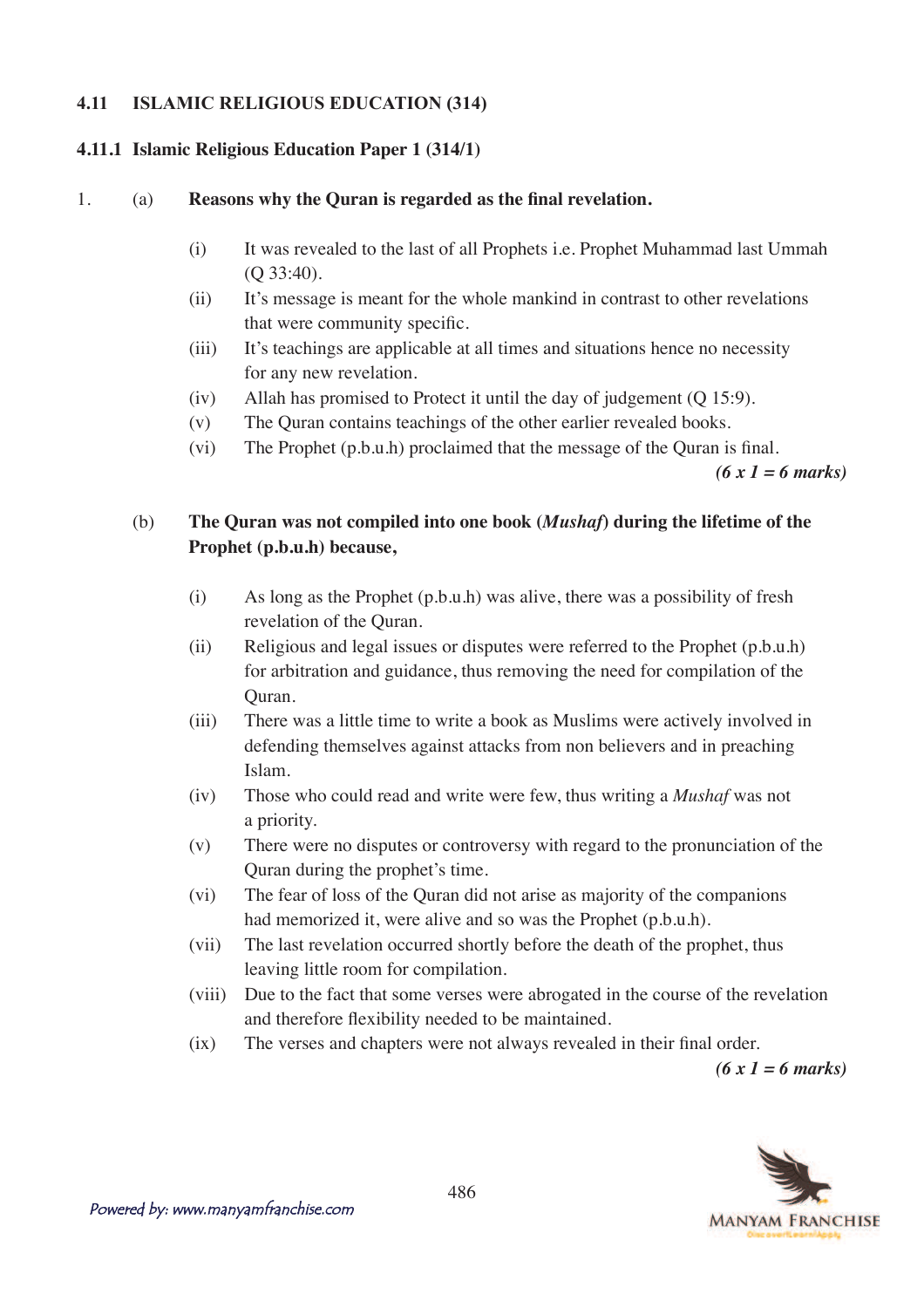### **4.11 ISLAMIC RELIGIOUS EDUCATION (314)**

### **4.11.1 Islamic Religious Education Paper 1 (314/1)**

#### 1. (a) **Reasons why the Ouran is regarded as the final revelation.**

- (i) It was revealed to the last of all Prophets i.e. Prophet Muhammad last Ummah (Q 33:40).
- (ii) It's message is meant for the whole mankind in contrast to other revelations that were community specific.
- (iii) It's teachings are applicable at all times and situations hence no necessity for any new revelation.
- (iv) Allah has promised to Protect it until the day of judgement (Q 15:9).
- (v) The Quran contains teachings of the other earlier revealed books.
- $(vi)$  The Prophet  $(p.b.u.h)$  proclaimed that the message of the Quran is final.

*(6 x 1 = 6 marks)*

# (b) **The Quran was not compiled into one book (***Mushaf***) during the lifetime of the Prophet (p.b.u.h) because,**

- (i) As long as the Prophet (p.b.u.h) was alive, there was a possibility of fresh revelation of the Quran.
- (ii) Religious and legal issues or disputes were referred to the Prophet (p.b.u.h) for arbitration and guidance, thus removing the need for compilation of the Quran.
- (iii) There was a little time to write a book as Muslims were actively involved in defending themselves against attacks from non believers and in preaching Islam.
- (iv) Those who could read and write were few, thus writing a *Mushaf* was not a priority.
- (v) There were no disputes or controversy with regard to the pronunciation of the Quran during the prophet's time.
- (vi) The fear of loss of the Quran did not arise as majority of the companions had memorized it, were alive and so was the Prophet (p.b.u.h).
- (vii) The last revelation occurred shortly before the death of the prophet, thus leaving little room for compilation.
- (viii) Due to the fact that some verses were abrogated in the course of the revelation and therefore flexibility needed to be maintained.
- $(ix)$  The verses and chapters were not always revealed in their final order.

*(6 x 1 = 6 marks)*

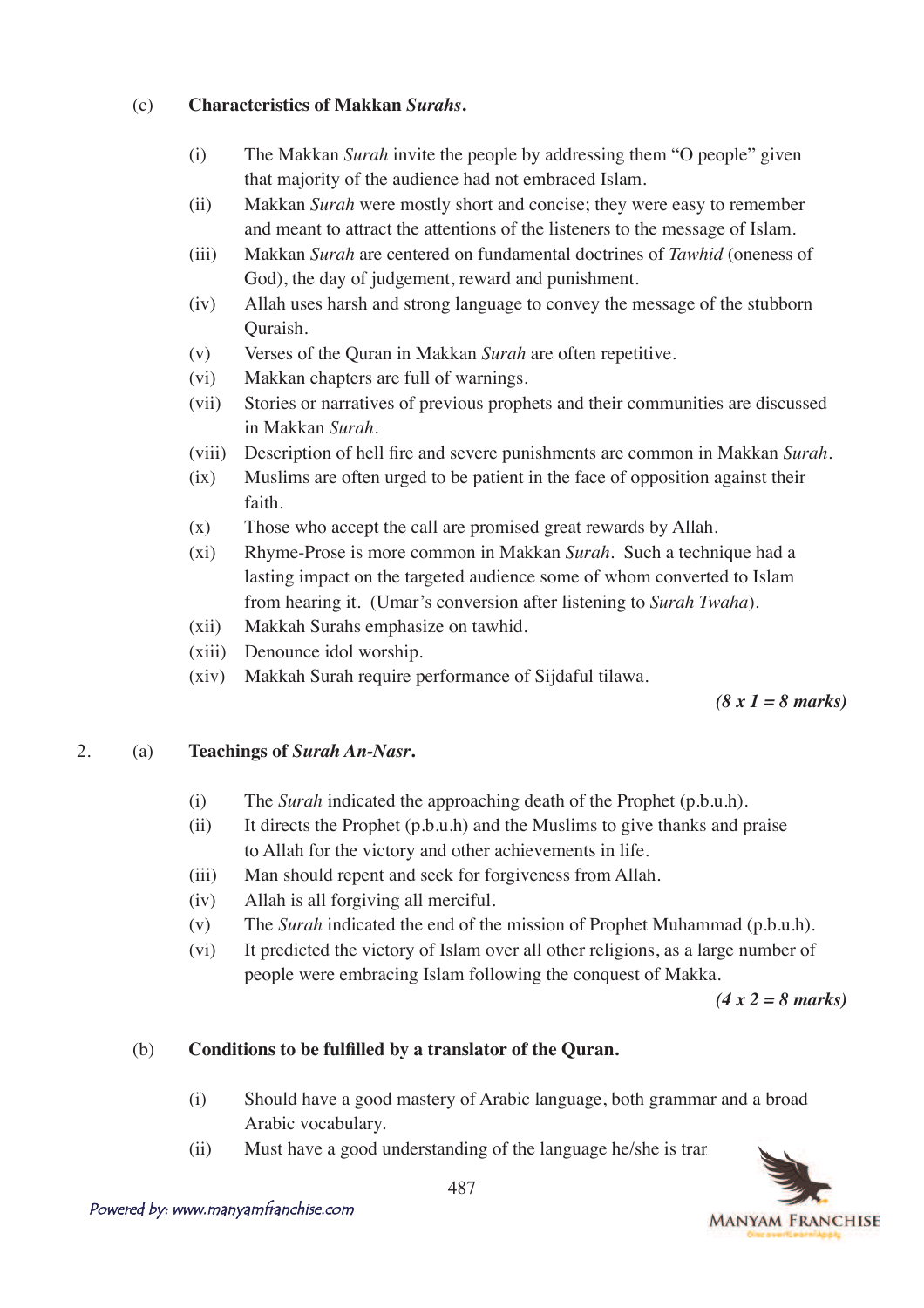### (c) **Characteristics of Makkan** *Surahs***.**

- (i) The Makkan *Surah* invite the people by addressing them "O people" given that majority of the audience had not embraced Islam.
- (ii) Makkan *Surah* were mostly short and concise; they were easy to remember and meant to attract the attentions of the listeners to the message of Islam.
- (iii) Makkan *Surah* are centered on fundamental doctrines of *Tawhid* (oneness of God), the day of judgement, reward and punishment.
- (iv) Allah uses harsh and strong language to convey the message of the stubborn Quraish.
- (v) Verses of the Quran in Makkan *Surah* are often repetitive.
- (vi) Makkan chapters are full of warnings.
- (vii) Stories or narratives of previous prophets and their communities are discussed in Makkan *Surah*.
- (viii) Description of hell fire and severe punishments are common in Makkan Surah.
- (ix) Muslims are often urged to be patient in the face of opposition against their faith.
- (x) Those who accept the call are promised great rewards by Allah.
- (xi) Rhyme-Prose is more common in Makkan *Surah*. Such a technique had a lasting impact on the targeted audience some of whom converted to Islam from hearing it. (Umar's conversion after listening to *Surah Twaha*).
- (xii) Makkah Surahs emphasize on tawhid.
- (xiii) Denounce idol worship.
- (xiv) Makkah Surah require performance of Sijdaful tilawa.

*(8 x 1 = 8 marks)*

## 2. (a) **Teachings of** *Surah An-Nasr***.**

- (i) The *Surah* indicated the approaching death of the Prophet (p.b.u.h).
- (ii) It directs the Prophet  $(p.b.u.h)$  and the Muslims to give thanks and praise to Allah for the victory and other achievements in life.
- (iii) Man should repent and seek for forgiveness from Allah.
- (iv) Allah is all forgiving all merciful.
- (v) The *Surah* indicated the end of the mission of Prophet Muhammad (p.b.u.h).
- (vi) It predicted the victory of Islam over all other religions, as a large number of people were embracing Islam following the conquest of Makka.

*(4 x 2 = 8 marks)*

## (b) **Conditions to be fulfilled by a translator of the Quran.**

- (i) Should have a good mastery of Arabic language, both grammar and a broad Arabic vocabulary.
- $(iii)$  Must have a good understanding of the language he/she is translating  $(ii)$

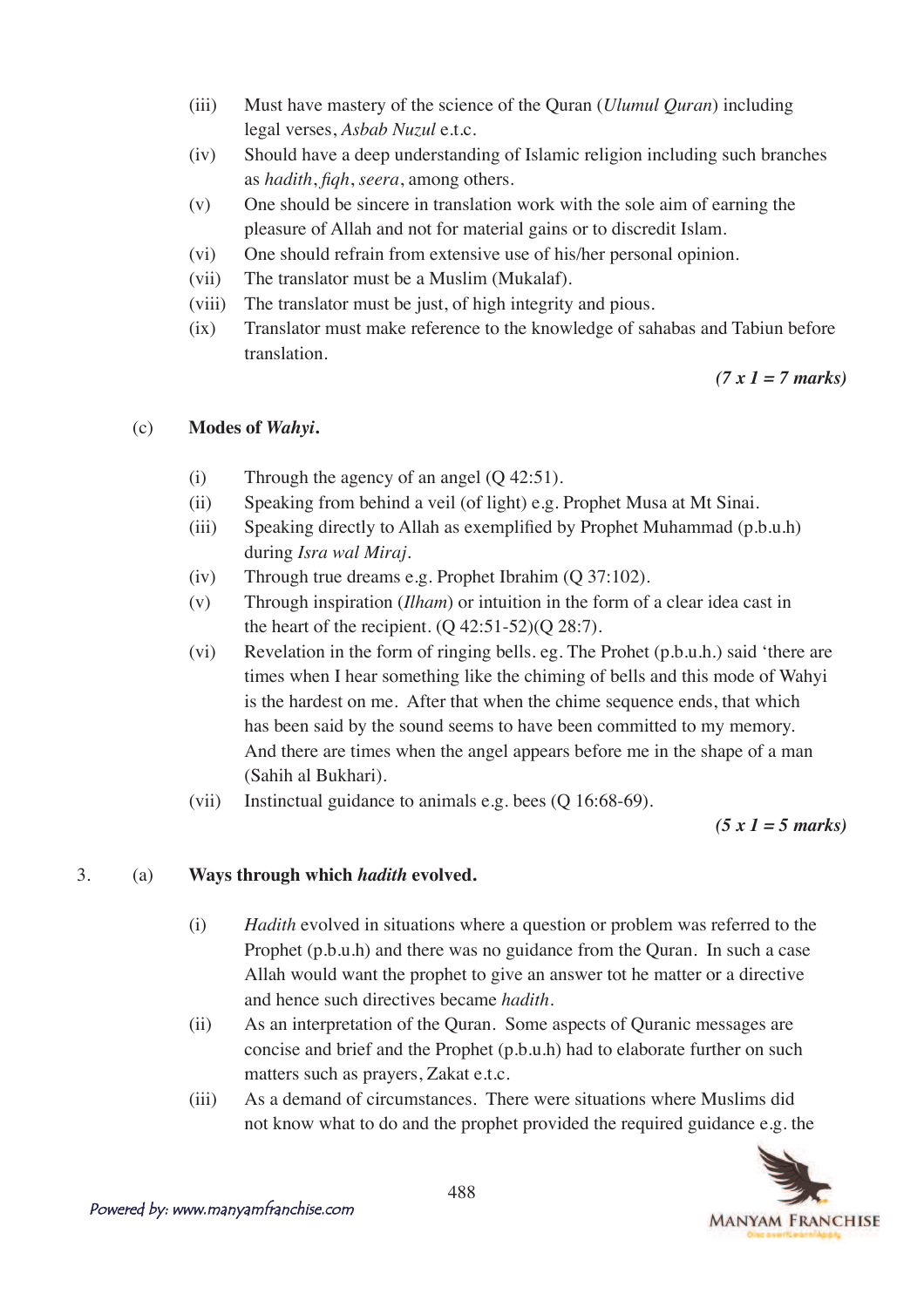- (iii) Must have mastery of the science of the Quran (*Ulumul Quran*) including legal verses, *Asbab Nuzul* e.t.c.
- (iv) Should have a deep understanding of Islamic religion including such branches as *hadith*, *figh*, *seera*, among others.
- (v) One should be sincere in translation work with the sole aim of earning the pleasure of Allah and not for material gains or to discredit Islam.
- (vi) One should refrain from extensive use of his/her personal opinion.
- (vii) The translator must be a Muslim (Mukalaf).
- (viii) The translator must be just, of high integrity and pious.
- (ix) Translator must make reference to the knowledge of sahabas and Tabiun before translation.

*(7 x 1 = 7 marks)*

## (c) **Modes of** *Wahyi***.**

- (i) Through the agency of an angel (Q 42:51).
- (ii) Speaking from behind a veil (of light) e.g. Prophet Musa at Mt Sinai.
- (iii) Speaking directly to Allah as exemplified by Prophet Muhammad  $(p.b.u.h)$ during *Isra wal Miraj*.
- (iv) Through true dreams e.g. Prophet Ibrahim (Q 37:102).
- (v) Through inspiration (*Ilham*) or intuition in the form of a clear idea cast in the heart of the recipient.  $(Q 42:51-52)(Q 28:7)$ .
- (vi) Revelation in the form of ringing bells. eg. The Prohet (p.b.u.h.) said 'there are times when I hear something like the chiming of bells and this mode of Wahyi is the hardest on me. After that when the chime sequence ends, that which has been said by the sound seems to have been committed to my memory. And there are times when the angel appears before me in the shape of a man (Sahih al Bukhari).
- (vii) Instinctual guidance to animals e.g. bees (Q 16:68-69).

*(5 x 1 = 5 marks)*

# 3. (a) **Ways through which** *hadith* **evolved.**

- (i) *Hadith* evolved in situations where a question or problem was referred to the Prophet (p.b.u.h) and there was no guidance from the Quran. In such a case Allah would want the prophet to give an answer tot he matter or a directive and hence such directives became *hadith*.
- (ii) As an interpretation of the Quran. Some aspects of Quranic messages are concise and brief and the Prophet (p.b.u.h) had to elaborate further on such matters such as prayers, Zakat e.t.c.
- (iii) As a demand of circumstances. There were situations where Muslims did not know what to do and the prophet provided the required guidance e.g. the

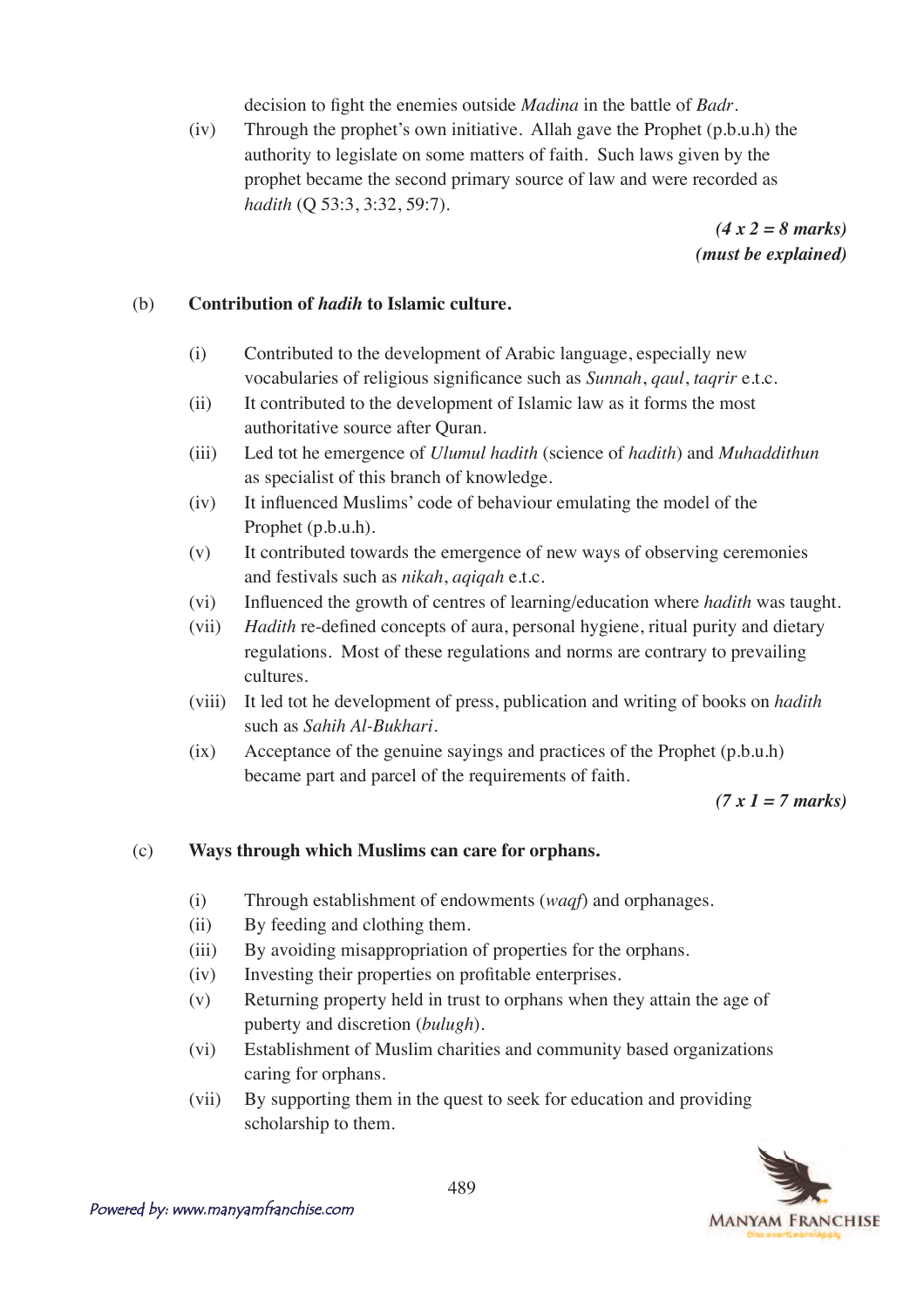decision to fight the enemies outside *Madina* in the battle of *Badr*.

(iv) Through the prophet's own initiative. Allah gave the Prophet (p.b.u.h) the authority to legislate on some matters of faith. Such laws given by the prophet became the second primary source of law and were recorded as *hadith* (Q 53:3, 3:32, 59:7).

> *(4 x 2 = 8 marks) (must be explained)*

### (b) **Contribution of** *hadih* **to Islamic culture.**

- (i) Contributed to the development of Arabic language, especially new *vocabularies of religious significance such as <i>Sunnah*, *qaul*, *taqrir* e.t.c.
- (ii) It contributed to the development of Islamic law as it forms the most authoritative source after Quran.
- (iii) Led tot he emergence of *Ulumul hadith* (science of *hadith*) and *Muhaddithun* as specialist of this branch of knowledge.
- $(iv)$  It influenced Muslims' code of behaviour emulating the model of the Prophet (p.b.u.h).
- (v) It contributed towards the emergence of new ways of observing ceremonies and festivals such as *nikah*, *aqiqah* e.t.c.
- (vi) Influenced the growth of centres of learning/education where *hadith* was taught.
- (vii) *Hadith* re-defined concepts of aura, personal hygiene, ritual purity and dietary regulations. Most of these regulations and norms are contrary to prevailing cultures.
- (viii) It led tot he development of press, publication and writing of books on *hadith* such as *Sahih Al-Bukhari*.
- (ix) Acceptance of the genuine sayings and practices of the Prophet (p.b.u.h) became part and parcel of the requirements of faith.

#### *(7 x 1 = 7 marks)*

## (c) **Ways through which Muslims can care for orphans.**

- (i) Through establishment of endowments (*waqf*) and orphanages.
- (ii) By feeding and clothing them.
- (iii) By avoiding misappropriation of properties for the orphans.
- $(iv)$  Investing their properties on profitable enterprises.
- (v) Returning property held in trust to orphans when they attain the age of puberty and discretion (*bulugh*).
- (vi) Establishment of Muslim charities and community based organizations caring for orphans.
- (vii) By supporting them in the quest to seek for education and providing scholarship to them.

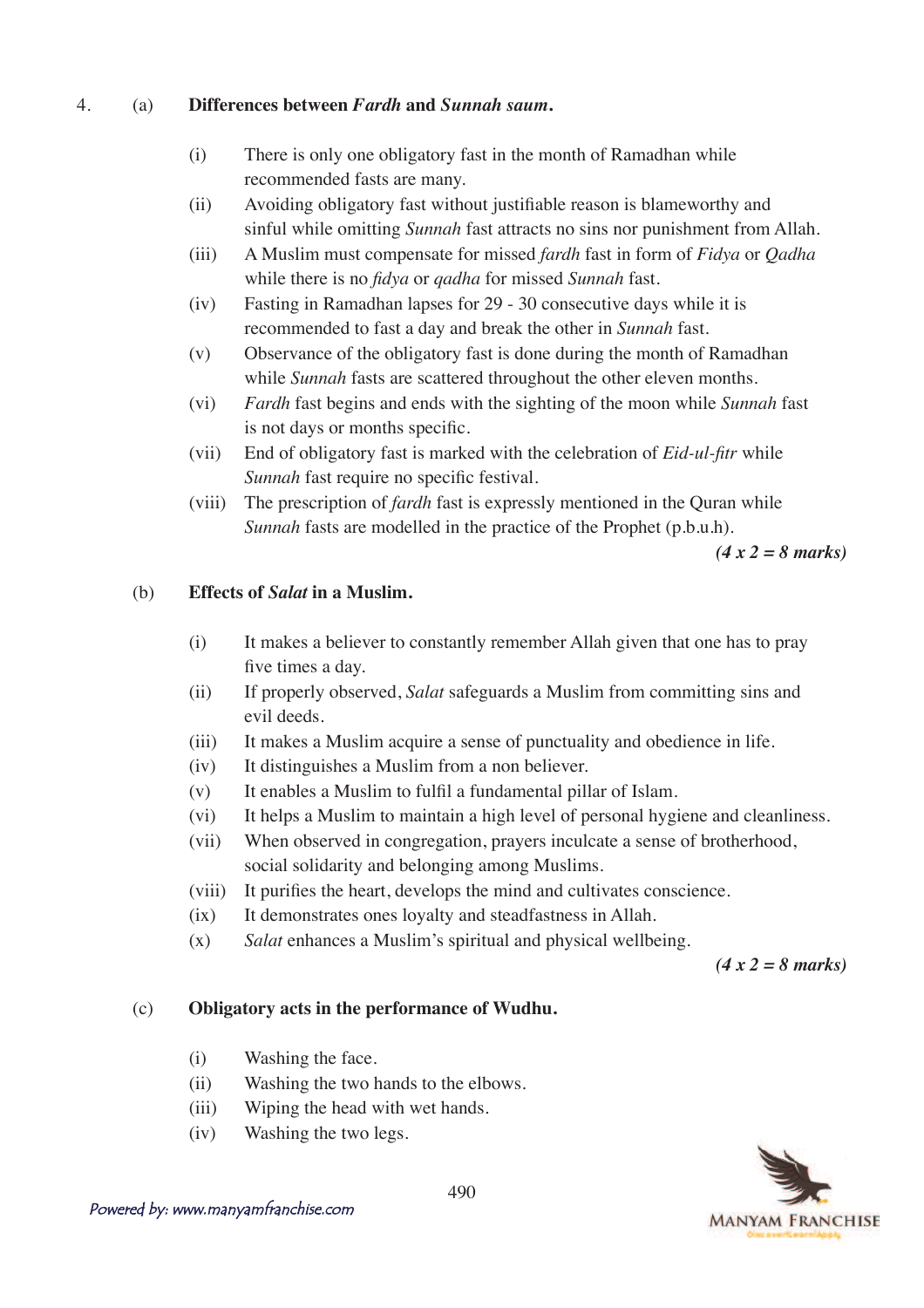#### 4. (a) **Differences between** *Fardh* **and** *Sunnah saum***.**

- (i) There is only one obligatory fast in the month of Ramadhan while recommended fasts are many.
- (ii) Avoiding obligatory fast without justifiable reason is blameworthy and sinful while omitting *Sunnah* fast attracts no sins nor punishment from Allah.
- (iii) A Muslim must compensate for missed *fardh* fast in form of *Fidya* or *Qadha* while there is no *fidya* or *qadha* for missed *Sunnah* fast.
- (iv) Fasting in Ramadhan lapses for 29 30 consecutive days while it is recommended to fast a day and break the other in *Sunnah* fast.
- (v) Observance of the obligatory fast is done during the month of Ramadhan while *Sunnah* fasts are scattered throughout the other eleven months.
- (vi) *Fardh* fast begins and ends with the sighting of the moon while *Sunnah* fast is not days or months specific.
- (vii) End of obligatory fast is marked with the celebration of *Eid-ul-fitr* while *Sunnah* fast require no specific festival.
- (viii) The prescription of *fardh* fast is expressly mentioned in the Quran while *Sunnah* fasts are modelled in the practice of the Prophet (p.b.u.h).

*(4 x 2 = 8 marks)*

#### (b) **Effects of** *Salat* **in a Muslim.**

- (i) It makes a believer to constantly remember Allah given that one has to pray five times a day.
- (ii) If properly observed, *Salat* safeguards a Muslim from committing sins and evil deeds.
- (iii) It makes a Muslim acquire a sense of punctuality and obedience in life.
- (iv) It distinguishes a Muslim from a non believer.
- $(v)$  It enables a Muslim to fulfil a fundamental pillar of Islam.
- (vi) It helps a Muslim to maintain a high level of personal hygiene and cleanliness.
- (vii) When observed in congregation, prayers inculcate a sense of brotherhood, social solidarity and belonging among Muslims.
- (viii) It purifies the heart, develops the mind and cultivates conscience.
- (ix) It demonstrates ones loyalty and steadfastness in Allah.
- (x) *Salat* enhances a Muslim's spiritual and physical wellbeing.

*(4 x 2 = 8 marks)*

#### (c) **Obligatory acts in the performance of Wudhu.**

- (i) Washing the face.
- (ii) Washing the two hands to the elbows.
- (iii) Wiping the head with wet hands.
- (iv) Washing the two legs.

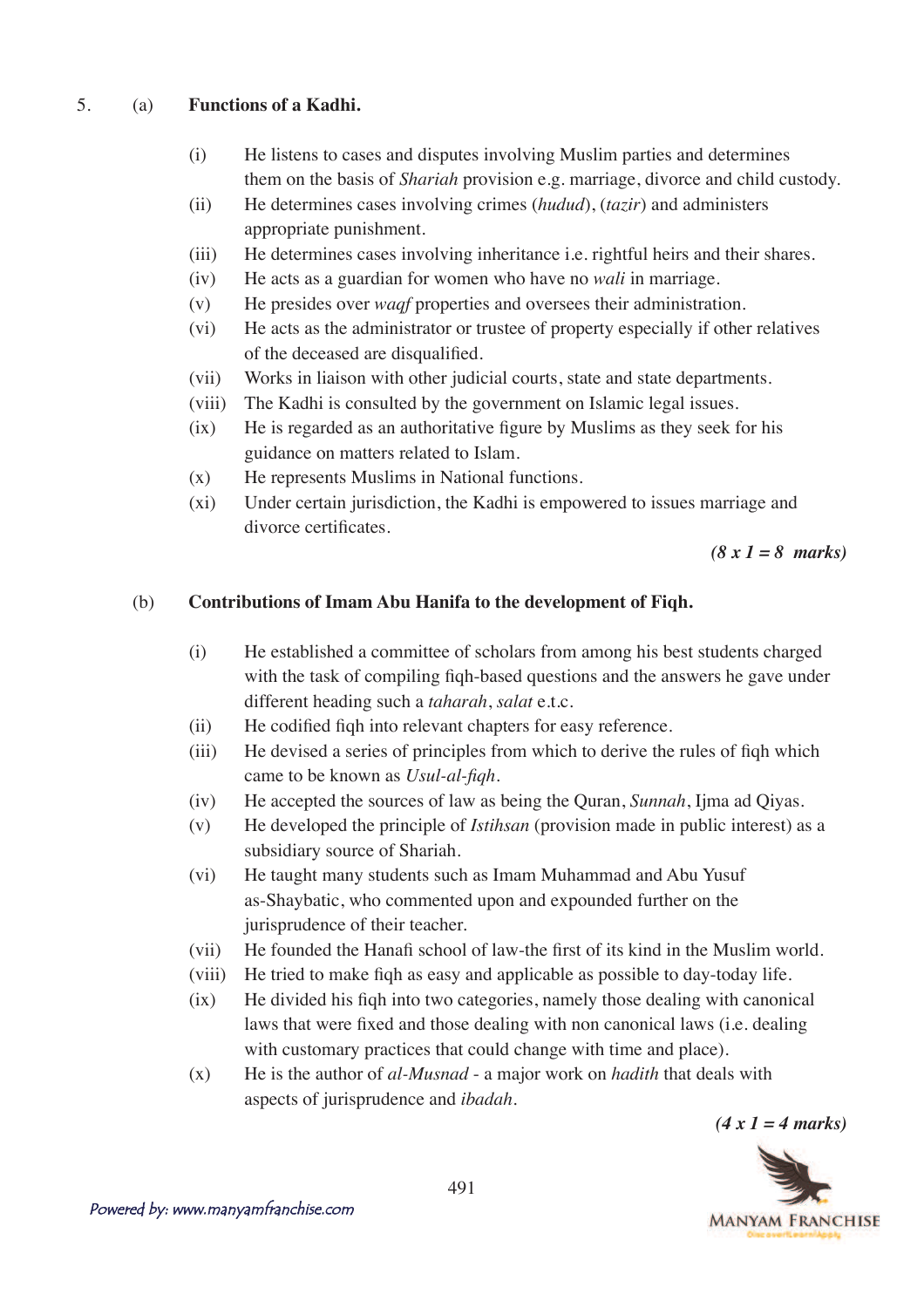### 5. (a) **Functions of a Kadhi.**

- (i) He listens to cases and disputes involving Muslim parties and determines them on the basis of *Shariah* provision e.g. marriage, divorce and child custody.
- (ii) He determines cases involving crimes (*hudud*), (*tazir*) and administers appropriate punishment.
- (iii) He determines cases involving inheritance i.e. rightful heirs and their shares.
- (iv) He acts as a guardian for women who have no *wali* in marriage.
- (v) He presides over *waqf* properties and oversees their administration.
- (vi) He acts as the administrator or trustee of property especially if other relatives of the deceased are disqualified.
- (vii) Works in liaison with other judicial courts, state and state departments.
- (viii) The Kadhi is consulted by the government on Islamic legal issues.
- $(ix)$  He is regarded as an authoritative figure by Muslims as they seek for his guidance on matters related to Islam.
- (x) He represents Muslims in National functions.
- (xi) Under certain jurisdiction, the Kadhi is empowered to issues marriage and divorce certificates.

*(8 x 1 = 8 marks)*

### (b) **Contributions of Imam Abu Hanifa to the development of Fiqh.**

- (i) He established a committee of scholars from among his best students charged with the task of compiling figh-based questions and the answers he gave under different heading such a *taharah*, *salat* e.t.c.
- $\text{(ii)}$  He codified figh into relevant chapters for easy reference.
- (iii) He devised a series of principles from which to derive the rules of figh which came to be known as *Usul-al-figh*.
- (iv) He accepted the sources of law as being the Quran, *Sunnah*, Ijma ad Qiyas.
- (v) He developed the principle of *Istihsan* (provision made in public interest) as a subsidiary source of Shariah.
- (vi) He taught many students such as Imam Muhammad and Abu Yusuf as-Shaybatic, who commented upon and expounded further on the jurisprudence of their teacher.
- $V$ i) He founded the Hanafi school of law-the first of its kind in the Muslim world.
- (viii) He tried to make figh as easy and applicable as possible to day-today life.
- $(ix)$  He divided his figh into two categories, namely those dealing with canonical laws that were fixed and those dealing with non canonical laws (i.e. dealing with customary practices that could change with time and place).
- $(x)$  He is the author of *al-Musnad* a major work on *hadith* that deals with aspects of jurisprudence and *ibadah*.

*(4 x 1 = 4 marks)*

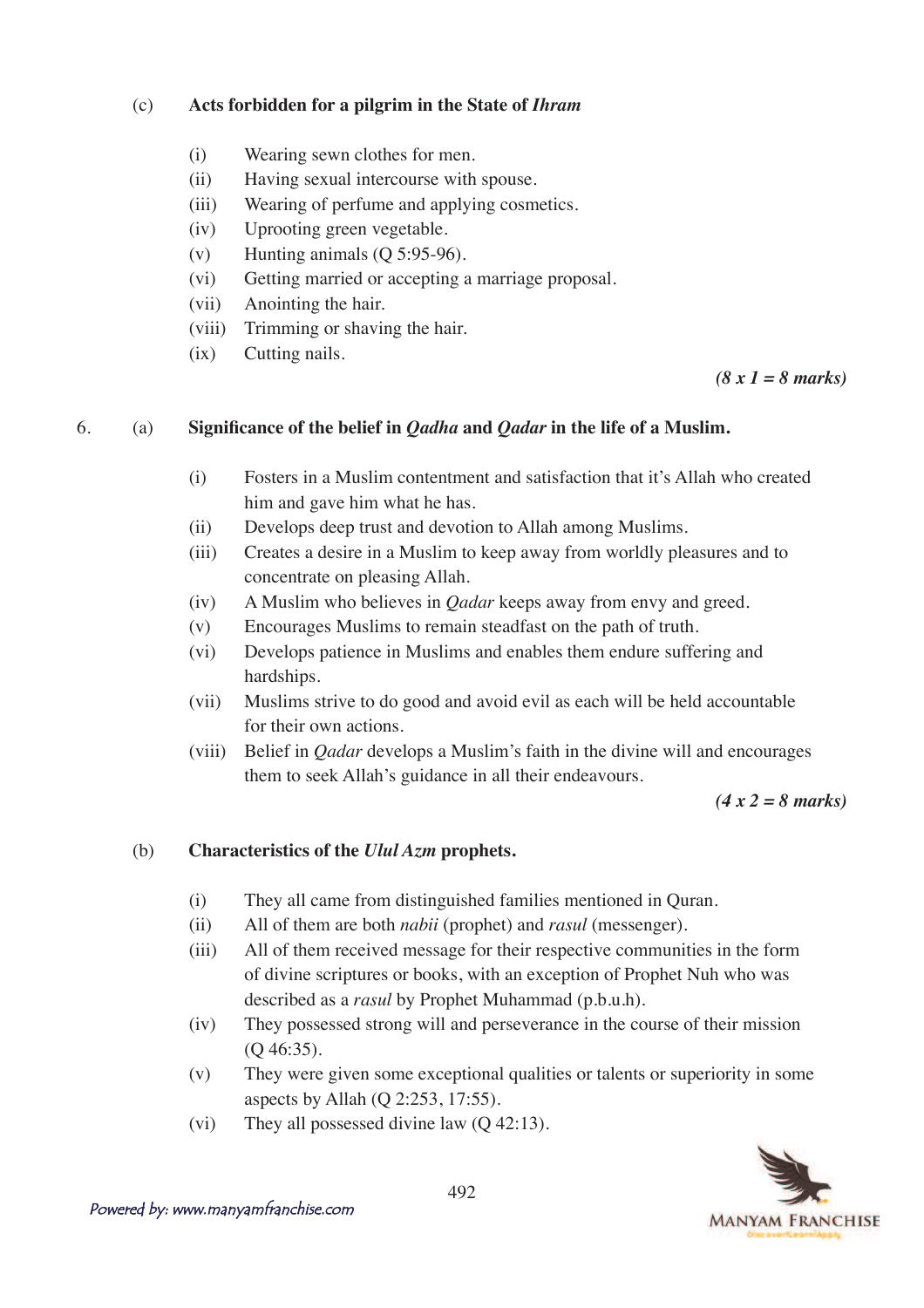### (c) **Acts forbidden for a pilgrim in the State of** *Ihram*

- (i) Wearing sewn clothes for men.
- (ii) Having sexual intercourse with spouse.
- (iii) Wearing of perfume and applying cosmetics.
- (iv) Uprooting green vegetable.
- (v) Hunting animals (Q 5:95-96).
- (vi) Getting married or accepting a marriage proposal.
- (vii) Anointing the hair.
- (viii) Trimming or shaving the hair.
- (ix) Cutting nails.

*(8 x 1 = 8 marks)*

### 6. (a) **Significance of the belief in** *Qadha* **and** *Qadar* **in the life of a Muslim.**

- (i) Fosters in a Muslim contentment and satisfaction that it's Allah who created him and gave him what he has.
- (ii) Develops deep trust and devotion to Allah among Muslims.
- (iii) Creates a desire in a Muslim to keep away from worldly pleasures and to concentrate on pleasing Allah.
- (iv) A Muslim who believes in *Qadar* keeps away from envy and greed.
- (v) Encourages Muslims to remain steadfast on the path of truth.
- (vi) Develops patience in Muslims and enables them endure suffering and hardships.
- (vii) Muslims strive to do good and avoid evil as each will be held accountable for their own actions.
- (viii) Belief in *Qadar* develops a Muslim's faith in the divine will and encourages them to seek Allah's guidance in all their endeavours.

*(4 x 2 = 8 marks)*

## (b) **Characteristics of the** *Ulul Azm* **prophets.**

- (i) They all came from distinguished families mentioned in Quran.
- (ii) All of them are both *nabii* (prophet) and *rasul* (messenger).
- (iii) All of them received message for their respective communities in the form of divine scriptures or books, with an exception of Prophet Nuh who was described as a *rasul* by Prophet Muhammad (p.b.u.h).
- (iv) They possessed strong will and perseverance in the course of their mission (Q 46:35).
- (v) They were given some exceptional qualities or talents or superiority in some aspects by Allah (Q 2:253, 17:55).
- (vi) They all possessed divine law (Q 42:13).

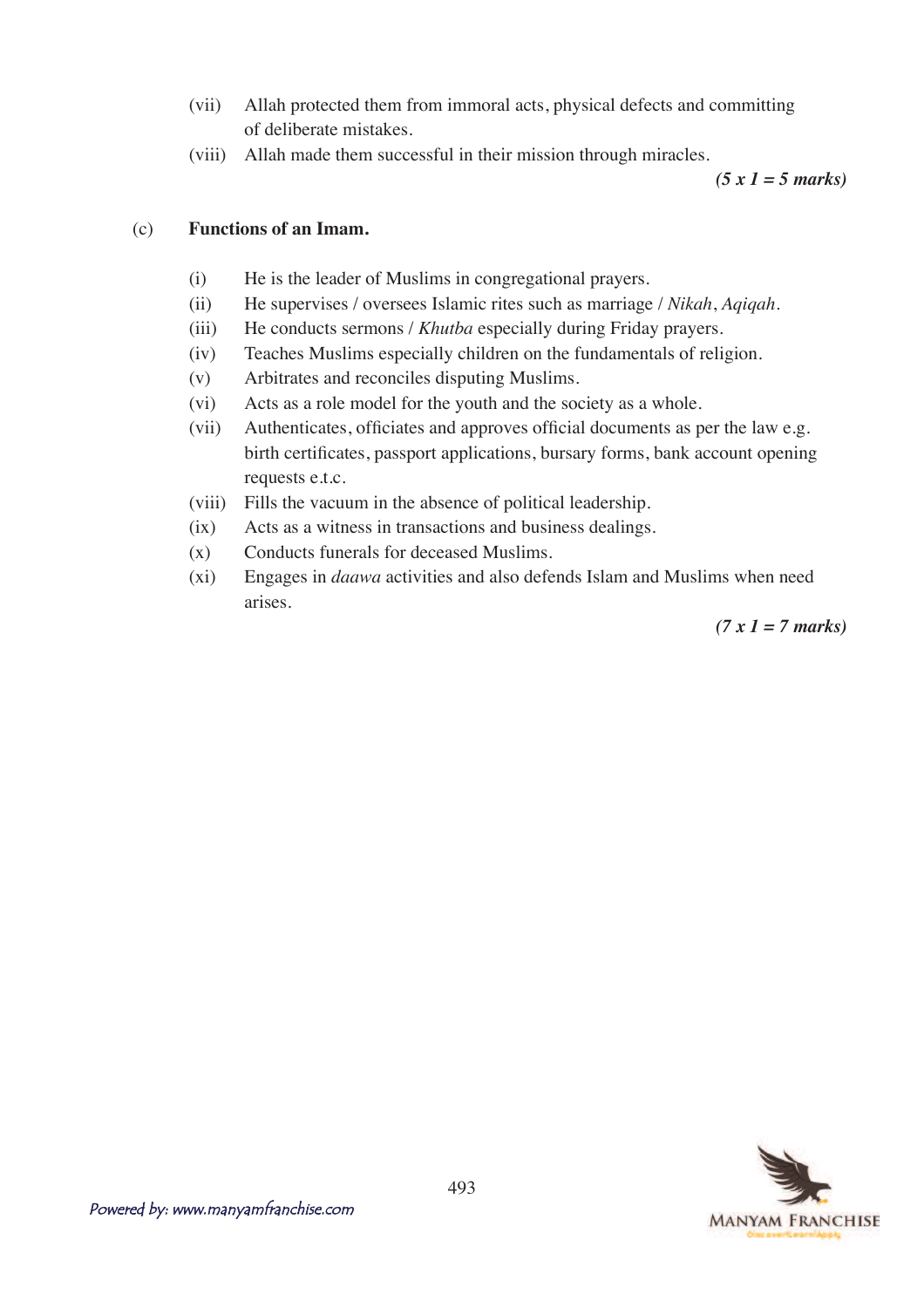- (vii) Allah protected them from immoral acts, physical defects and committing of deliberate mistakes.
- (viii) Allah made them successful in their mission through miracles.

*(5 x 1 = 5 marks)*

#### (c) **Functions of an Imam.**

- (i) He is the leader of Muslims in congregational prayers.
- (ii) He supervises / oversees Islamic rites such as marriage / *Nikah*, *Aqiqah*.
- (iii) He conducts sermons / *Khutba* especially during Friday prayers.
- (iv) Teaches Muslims especially children on the fundamentals of religion.
- (v) Arbitrates and reconciles disputing Muslims.
- (vi) Acts as a role model for the youth and the society as a whole.
- $(vii)$  Authenticates, officiates and approves official documents as per the law e.g. birth certificates, passport applications, bursary forms, bank account opening requests e.t.c.
- (viii) Fills the vacuum in the absence of political leadership.
- (ix) Acts as a witness in transactions and business dealings.
- (x) Conducts funerals for deceased Muslims.
- (xi) Engages in *daawa* activities and also defends Islam and Muslims when need arises.

*(7 x 1 = 7 marks)*

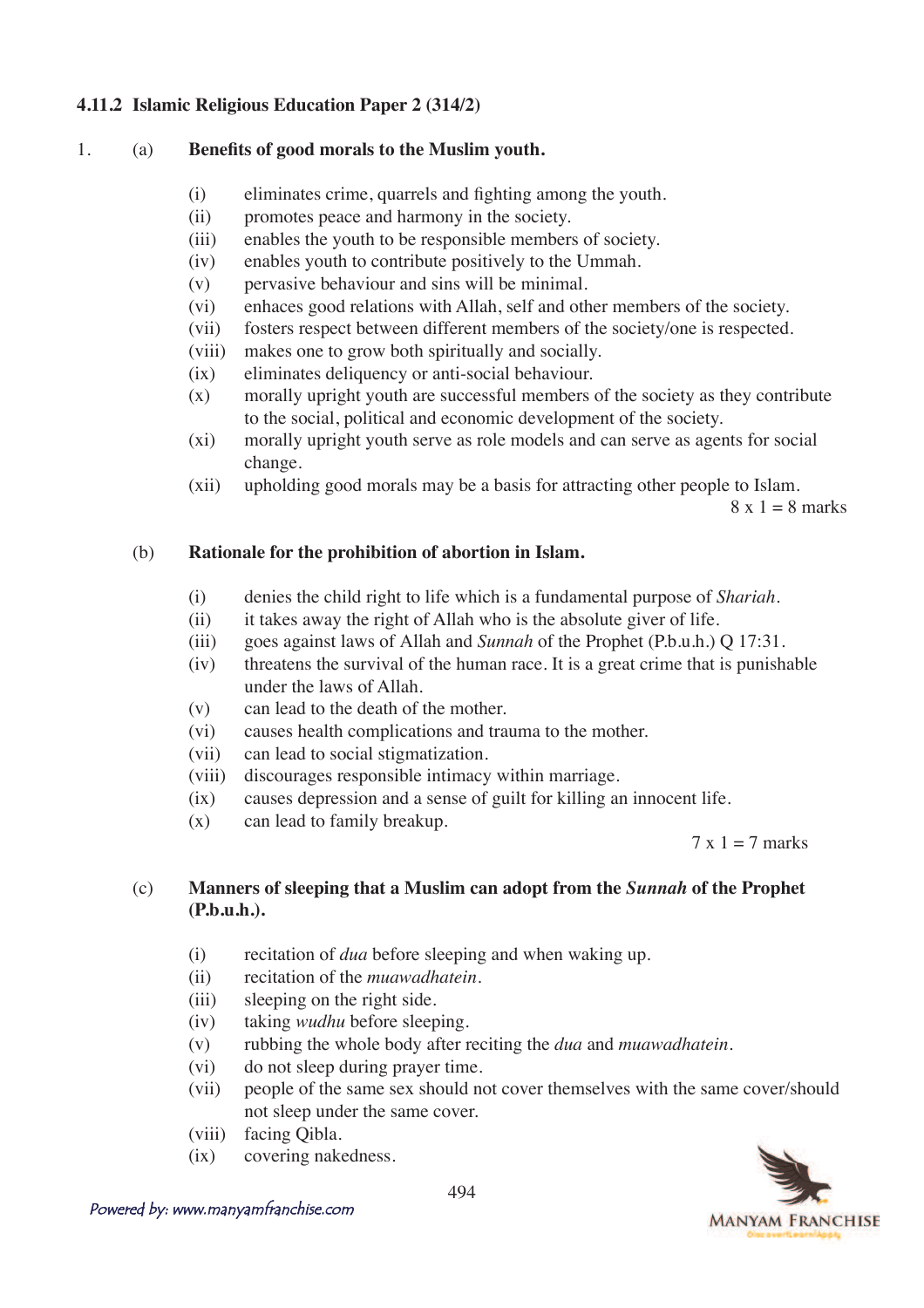### **4.11.2 Islamic Religious Education Paper 2 (314/2)**

#### 1. (a) **Benefits of good morals to the Muslim youth.**

- $(i)$  eliminates crime, quarrels and fighting among the youth.
- (ii) promotes peace and harmony in the society.
- (iii) enables the youth to be responsible members of society.
- (iv) enables youth to contribute positively to the Ummah.
- (v) pervasive behaviour and sins will be minimal.
- (vi) enhaces good relations with Allah, self and other members of the society.
- (vii) fosters respect between different members of the society/one is respected.
- (viii) makes one to grow both spiritually and socially.
- (ix) eliminates deliquency or anti-social behaviour.
- (x) morally upright youth are successful members of the society as they contribute to the social, political and economic development of the society.
- (xi) morally upright youth serve as role models and can serve as agents for social change.
- (xii) upholding good morals may be a basis for attracting other people to Islam.

 $8 \times 1 = 8$  marks

#### (b) **Rationale for the prohibition of abortion in Islam.**

- (i) denies the child right to life which is a fundamental purpose of *Shariah*.
- (ii) it takes away the right of Allah who is the absolute giver of life.
- (iii) goes against laws of Allah and *Sunnah* of the Prophet (P.b.u.h.) Q 17:31.
- (iv) threatens the survival of the human race. It is a great crime that is punishable under the laws of Allah.
- (v) can lead to the death of the mother.
- (vi) causes health complications and trauma to the mother.
- (vii) can lead to social stigmatization.
- (viii) discourages responsible intimacy within marriage.
- (ix) causes depression and a sense of guilt for killing an innocent life.
- (x) can lead to family breakup.

 $7 \times 1 = 7$  marks

## (c) **Manners of sleeping that a Muslim can adopt from the** *Sunnah* **of the Prophet (P.b.u.h.).**

- (i) recitation of *dua* before sleeping and when waking up.
- (ii) recitation of the *muawadhatein*.
- (iii) sleeping on the right side.
- (iv) taking *wudhu* before sleeping.
- (v) rubbing the whole body after reciting the *dua* and *muawadhatein*.
- (vi) do not sleep during prayer time.
- (vii) people of the same sex should not cover themselves with the same cover/should not sleep under the same cover.
- (viii) facing Qibla.
- (ix) covering nakedness.

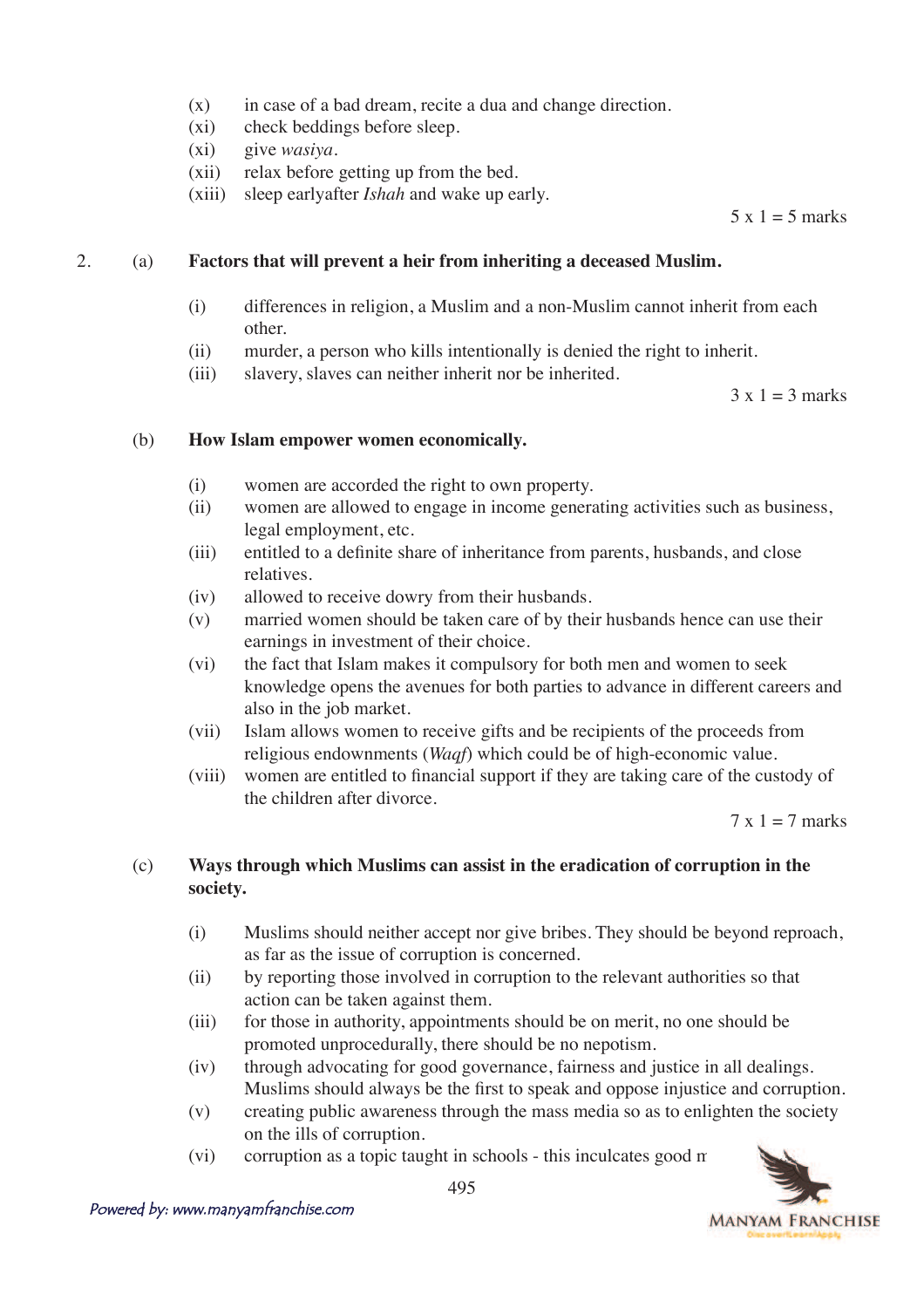- $(x)$  in case of a bad dream, recite a dua and change direction.
- (xi) check beddings before sleep.
- (xi) give *wasiya*.
- (xii) relax before getting up from the bed.
- (xiii) sleep earlyafter *Ishah* and wake up early.

 $5 \times 1 = 5$  marks

#### 2. (a) **Factors that will prevent a heir from inheriting a deceased Muslim.**

- (i) differences in religion, a Muslim and a non-Muslim cannot inherit from each other.
- (ii) murder, a person who kills intentionally is denied the right to inherit.
- (iii) slavery, slaves can neither inherit nor be inherited.

 $3 \times 1 = 3$  marks

#### (b) **How Islam empower women economically.**

- (i) women are accorded the right to own property.
- (ii) women are allowed to engage in income generating activities such as business, legal employment, etc.
- (iii) entitled to a definite share of inheritance from parents, husbands, and close relatives.
- (iv) allowed to receive dowry from their husbands.
- (v) married women should be taken care of by their husbands hence can use their earnings in investment of their choice.
- (vi) the fact that Islam makes it compulsory for both men and women to seek knowledge opens the avenues for both parties to advance in different careers and also in the job market.
- (vii) Islam allows women to receive gifts and be recipients of the proceeds from religious endownments (*Waqf*) which could be of high-economic value.
- $V$ lulli) women are entitled to financial support if they are taking care of the custody of the children after divorce.

 $7 \times 1 = 7$  marks

### (c) **Ways through which Muslims can assist in the eradication of corruption in the society.**

- (i) Muslims should neither accept nor give bribes. They should be beyond reproach, as far as the issue of corruption is concerned.
- (ii) by reporting those involved in corruption to the relevant authorities so that action can be taken against them.
- (iii) for those in authority, appointments should be on merit, no one should be promoted unprocedurally, there should be no nepotism.
- (iv) through advocating for good governance, fairness and justice in all dealings. Muslims should always be the first to speak and oppose injustice and corruption.
- (v) creating public awareness through the mass media so as to enlighten the society on the ills of corruption.
- (vi) corruption as a topic taught in schools this inculcates good  $\pi$

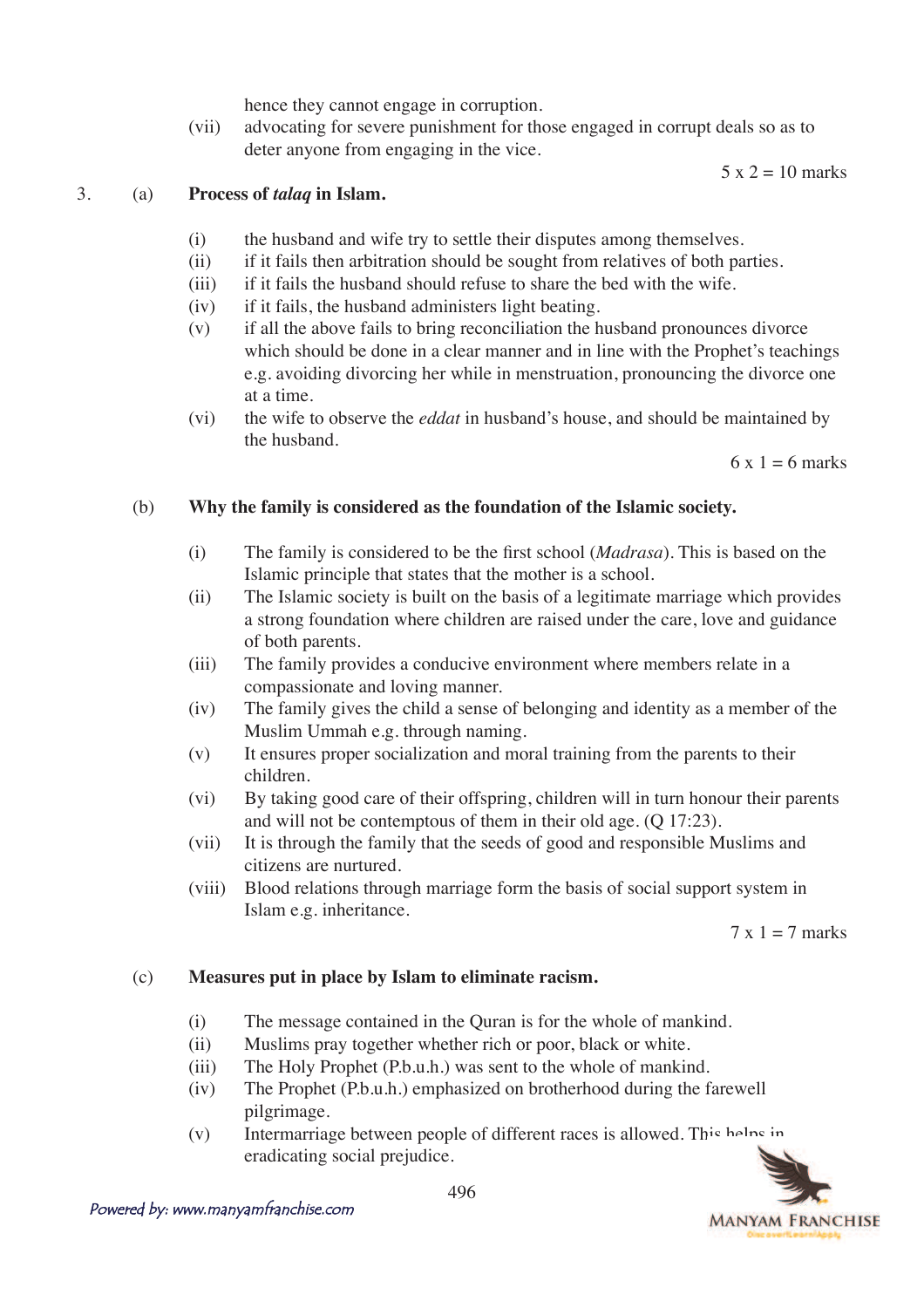hence they cannot engage in corruption.

 (vii) advocating for severe punishment for those engaged in corrupt deals so as to deter anyone from engaging in the vice.

 $5 \times 2 = 10$  marks

#### 3. (a) **Process of** *talaq* **in Islam.**

- (i) the husband and wife try to settle their disputes among themselves.
- (ii) if it fails then arbitration should be sought from relatives of both parties.
- (iii) if it fails the husband should refuse to share the bed with the wife.
- (iv) if it fails, the husband administers light beating.
- (v) if all the above fails to bring reconciliation the husband pronounces divorce which should be done in a clear manner and in line with the Prophet's teachings e.g. avoiding divorcing her while in menstruation, pronouncing the divorce one at a time.
- (vi) the wife to observe the *eddat* in husband's house, and should be maintained by the husband.

 $6x = 6$  marks

#### (b) **Why the family is considered as the foundation of the Islamic society.**

- $\Delta$  7He family is considered to be the first school (*Madrasa*). This is based on the Islamic principle that states that the mother is a school.
- (ii) The Islamic society is built on the basis of a legitimate marriage which provides a strong foundation where children are raised under the care, love and guidance of both parents.
- (iii) The family provides a conducive environment where members relate in a compassionate and loving manner.
- (iv) The family gives the child a sense of belonging and identity as a member of the Muslim Ummah e.g. through naming.
- (v) It ensures proper socialization and moral training from the parents to their children.
- (vi) By taking good care of their offspring, children will in turn honour their parents and will not be contemptous of them in their old age. (Q 17:23).
- (vii) It is through the family that the seeds of good and responsible Muslims and citizens are nurtured.
- (viii) Blood relations through marriage form the basis of social support system in Islam e.g. inheritance.

 $7 \times 1 = 7$  marks

#### (c) **Measures put in place by Islam to eliminate racism.**

- (i) The message contained in the Quran is for the whole of mankind.
- (ii) Muslims pray together whether rich or poor, black or white.
- (iii) The Holy Prophet (P.b.u.h.) was sent to the whole of mankind.
- (iv) The Prophet (P.b.u.h.) emphasized on brotherhood during the farewell pilgrimage.
- (v) Intermarriage between people of different races is allowed. This helps in eradicating social prejudice.

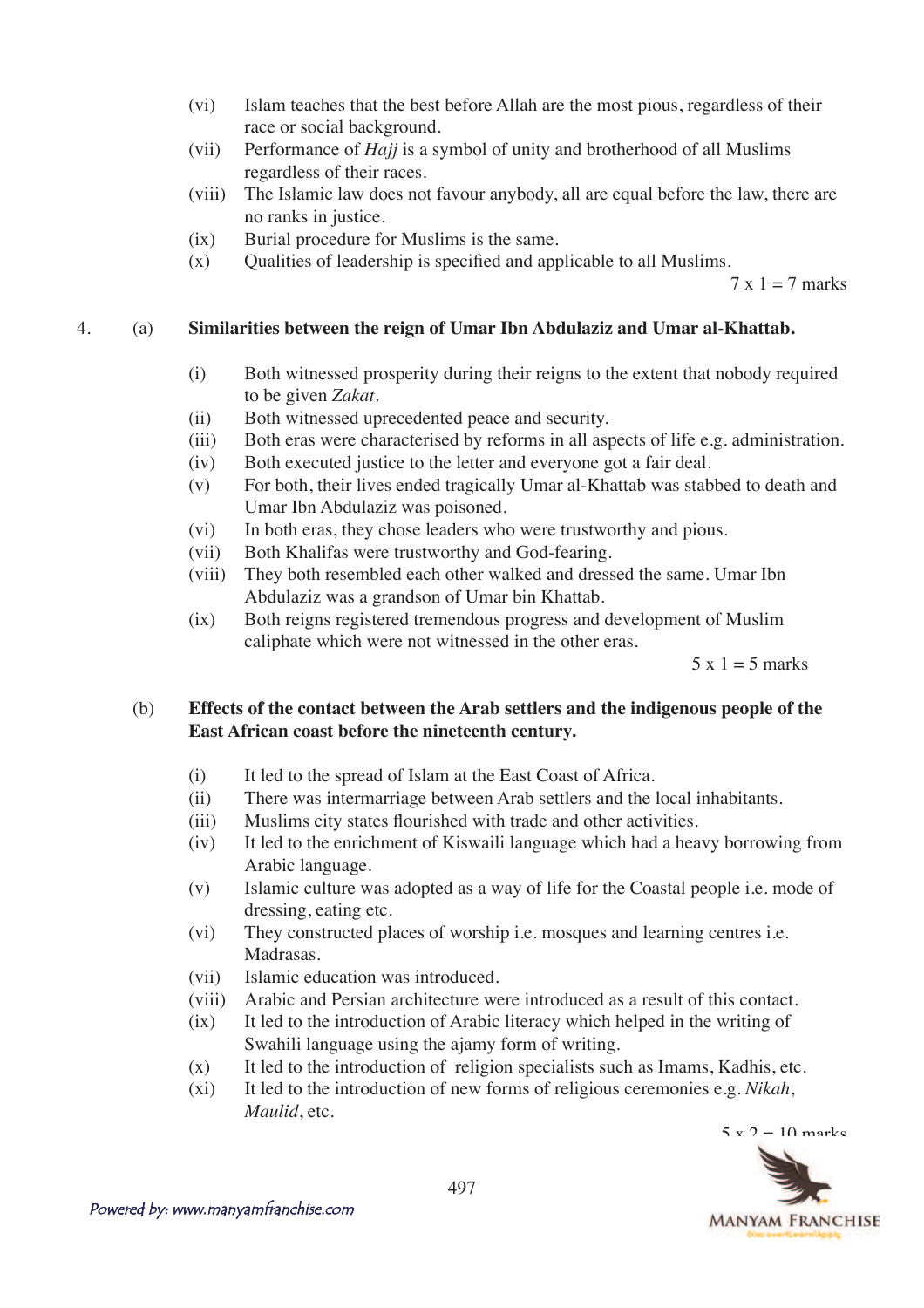- (vi) Islam teaches that the best before Allah are the most pious, regardless of their race or social background.
- (vii) Performance of *Hajj* is a symbol of unity and brotherhood of all Muslims regardless of their races.
- (viii) The Islamic law does not favour anybody, all are equal before the law, there are no ranks in justice.
- (ix) Burial procedure for Muslims is the same.
- $(x)$  Qualities of leadership is specified and applicable to all Muslims.

 $7 \times 1 = 7$  marks

### 4. (a) **Similarities between the reign of Umar Ibn Abdulaziz and Umar al-Khattab.**

- (i) Both witnessed prosperity during their reigns to the extent that nobody required to be given *Zakat*.
- (ii) Both witnessed uprecedented peace and security.
- (iii) Both eras were characterised by reforms in all aspects of life e.g. administration.
- (iv) Both executed justice to the letter and everyone got a fair deal.
- (v) For both, their lives ended tragically Umar al-Khattab was stabbed to death and Umar Ibn Abdulaziz was poisoned.
- (vi) In both eras, they chose leaders who were trustworthy and pious.
- (vii) Both Khalifas were trustworthy and God-fearing.
- (viii) They both resembled each other walked and dressed the same. Umar Ibn Abdulaziz was a grandson of Umar bin Khattab.
- (ix) Both reigns registered tremendous progress and development of Muslim caliphate which were not witnessed in the other eras.

 $5 \times 1 = 5$  marks

## (b) **Effects of the contact between the Arab settlers and the indigenous people of the East African coast before the nineteenth century.**

- (i) It led to the spread of Islam at the East Coast of Africa.
- (ii) There was intermarriage between Arab settlers and the local inhabitants.
- (iii) Muslims city states flourished with trade and other activities.
- (iv) It led to the enrichment of Kiswaili language which had a heavy borrowing from Arabic language.
- (v) Islamic culture was adopted as a way of life for the Coastal people i.e. mode of dressing, eating etc.
- (vi) They constructed places of worship i.e. mosques and learning centres i.e. Madrasas.
- (vii) Islamic education was introduced.
- (viii) Arabic and Persian architecture were introduced as a result of this contact.
- (ix) It led to the introduction of Arabic literacy which helped in the writing of Swahili language using the ajamy form of writing.
- $(x)$  It led to the introduction of religion specialists such as Imams, Kadhis, etc.
- (xi) It led to the introduction of new forms of religious ceremonies e.g. *Nikah*, *Maulid*, etc.

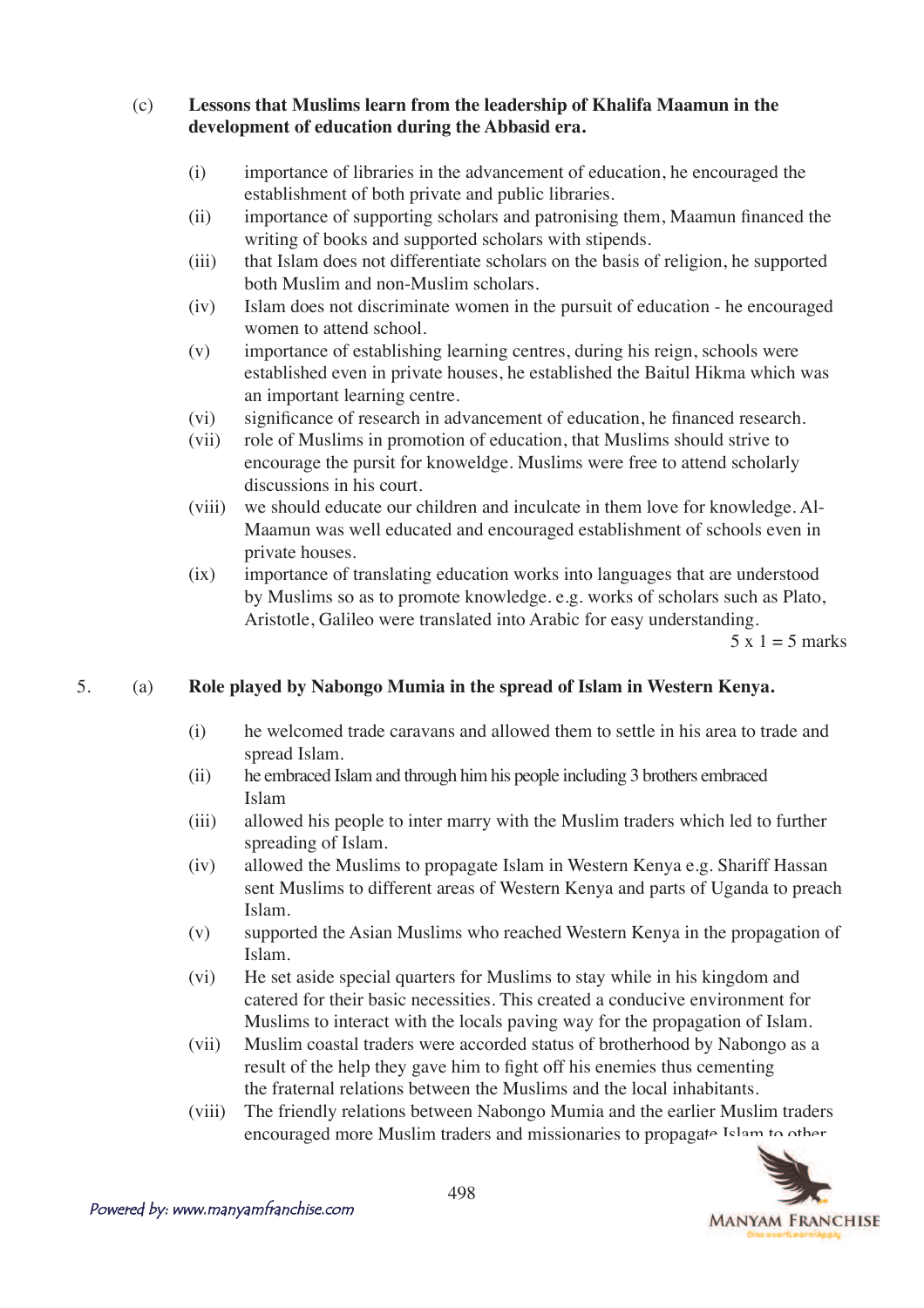(c) **Lessons that Muslims learn from the leadership of Khalifa Maamun in the development of education during the Abbasid era.**

- (i) importance of libraries in the advancement of education, he encouraged the establishment of both private and public libraries.
- $\delta$  importance of supporting scholars and patronising them, Maamun financed the writing of books and supported scholars with stipends.
- (iii) that Islam does not differentiate scholars on the basis of religion, he supported both Muslim and non-Muslim scholars.
- (iv) Islam does not discriminate women in the pursuit of education he encouraged women to attend school.
- (v) importance of establishing learning centres, during his reign, schools were established even in private houses, he established the Baitul Hikma which was an important learning centre.
- $(vi)$  significance of research in advancement of education, he financed research.
- (vii) role of Muslims in promotion of education, that Muslims should strive to encourage the pursit for knoweldge. Muslims were free to attend scholarly discussions in his court.
- (viii) we should educate our children and inculcate in them love for knowledge. Al- Maamun was well educated and encouraged establishment of schools even in private houses.
- (ix) importance of translating education works into languages that are understood by Muslims so as to promote knowledge. e.g. works of scholars such as Plato, Aristotle, Galileo were translated into Arabic for easy understanding.

 $5 \times 1 = 5$  marks

## 5. (a) **Role played by Nabongo Mumia in the spread of Islam in Western Kenya.**

- (i) he welcomed trade caravans and allowed them to settle in his area to trade and spread Islam.
- (ii) he embraced Islam and through him his people including 3 brothers embraced Islam
- (iii) allowed his people to inter marry with the Muslim traders which led to further spreading of Islam.
- (iv) allowed the Muslims to propagate Islam in Western Kenya e.g. Shariff Hassan sent Muslims to different areas of Western Kenya and parts of Uganda to preach Islam.
- (v) supported the Asian Muslims who reached Western Kenya in the propagation of Islam.
- (vi) He set aside special quarters for Muslims to stay while in his kingdom and catered for their basic necessities. This created a conducive environment for Muslims to interact with the locals paving way for the propagation of Islam.
- (vii) Muslim coastal traders were accorded status of brotherhood by Nabongo as a result of the help they gave him to fight off his enemies thus cementing the fraternal relations between the Muslims and the local inhabitants.
- (viii) The friendly relations between Nabongo Mumia and the earlier Muslim traders encouraged more Muslim traders and missionaries to propagate Islam to other

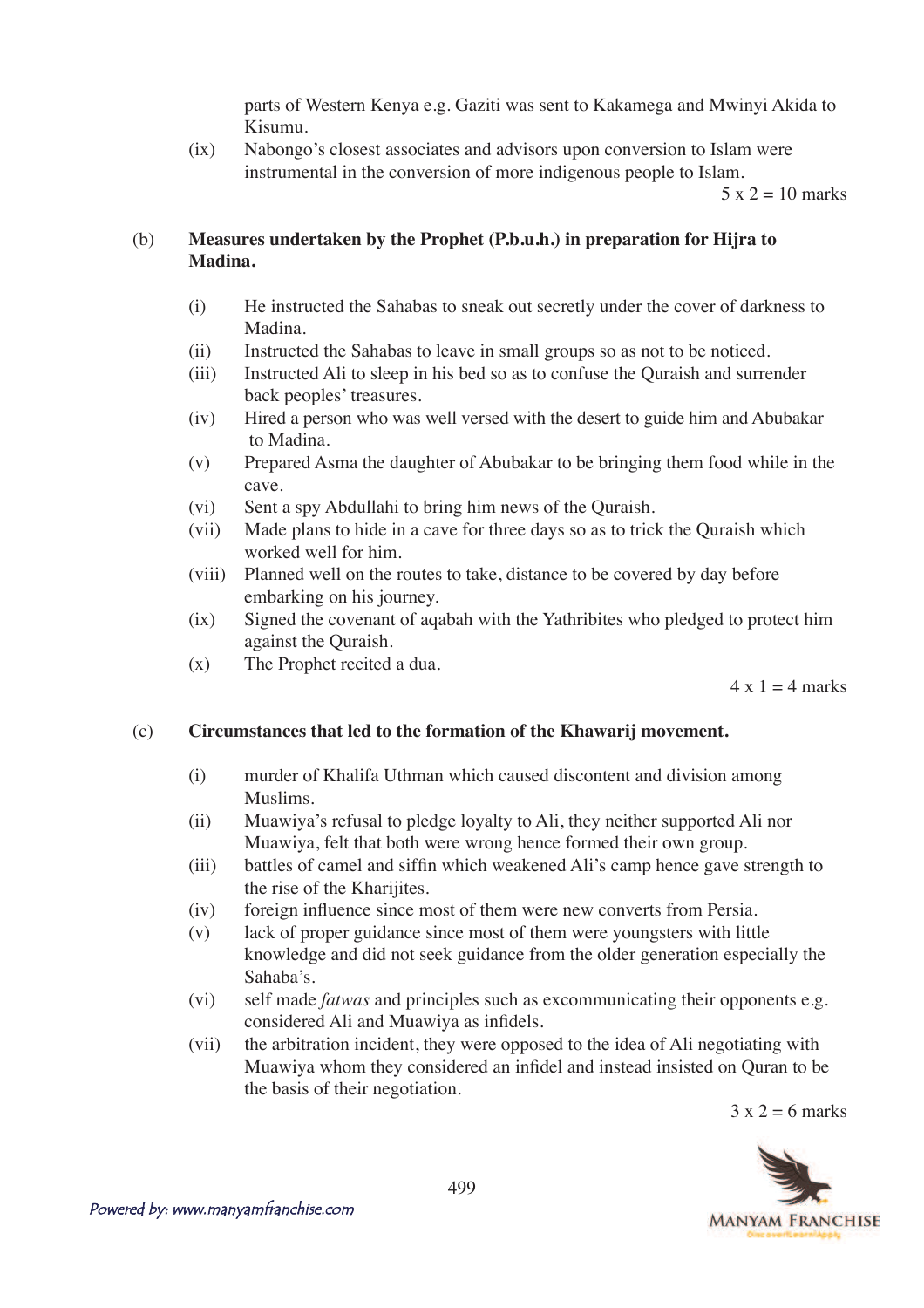parts of Western Kenya e.g. Gaziti was sent to Kakamega and Mwinyi Akida to Kisumu.

 (ix) Nabongo's closest associates and advisors upon conversion to Islam were instrumental in the conversion of more indigenous people to Islam.

 $5 \times 2 = 10$  marks

## (b) **Measures undertaken by the Prophet (P.b.u.h.) in preparation for Hijra to Madina.**

- (i) He instructed the Sahabas to sneak out secretly under the cover of darkness to Madina.
- (ii) Instructed the Sahabas to leave in small groups so as not to be noticed.
- (iii) Instructed Ali to sleep in his bed so as to confuse the Quraish and surrender back peoples' treasures.
- (iv) Hired a person who was well versed with the desert to guide him and Abubakar to Madina.
- (v) Prepared Asma the daughter of Abubakar to be bringing them food while in the cave.
- (vi) Sent a spy Abdullahi to bring him news of the Quraish.
- (vii) Made plans to hide in a cave for three days so as to trick the Quraish which worked well for him.
- (viii) Planned well on the routes to take, distance to be covered by day before embarking on his journey.
- (ix) Signed the covenant of aqabah with the Yathribites who pledged to protect him against the Quraish.
- (x) The Prophet recited a dua.

 $4 \times 1 = 4$  marks

#### (c) **Circumstances that led to the formation of the Khawarij movement.**

- (i) murder of Khalifa Uthman which caused discontent and division among Muslims.
- (ii) Muawiya's refusal to pledge loyalty to Ali, they neither supported Ali nor Muawiya, felt that both were wrong hence formed their own group.
- (iii) battles of camel and siffin which weakened Ali's camp hence gave strength to the rise of the Kharijites.
- (iv) foreign influence since most of them were new converts from Persia.
- (v) lack of proper guidance since most of them were youngsters with little knowledge and did not seek guidance from the older generation especially the Sahaba's.
- (vi) self made *fatwas* and principles such as excommunicating their opponents e.g. considered Ali and Muawiya as infidels.
- (vii) the arbitration incident, they were opposed to the idea of Ali negotiating with Muawiya whom they considered an infidel and instead insisted on Quran to be the basis of their negotiation.

 $3 \times 2 = 6$  marks

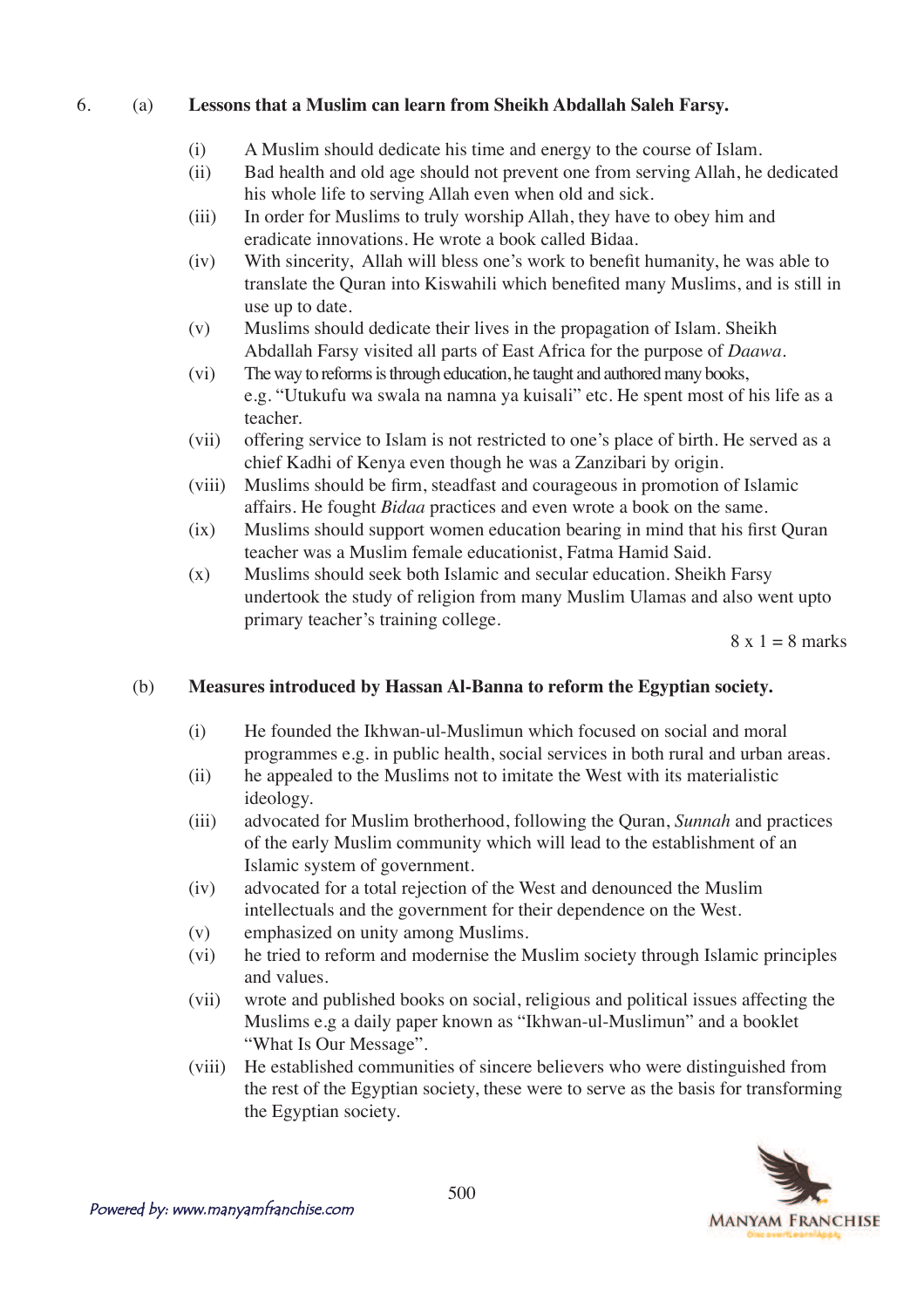### 6. (a) **Lessons that a Muslim can learn from Sheikh Abdallah Saleh Farsy.**

- (i) A Muslim should dedicate his time and energy to the course of Islam.
- (ii) Bad health and old age should not prevent one from serving Allah, he dedicated his whole life to serving Allah even when old and sick.
- (iii) In order for Muslims to truly worship Allah, they have to obey him and eradicate innovations. He wrote a book called Bidaa.
- $(iv)$  With sincerity, Allah will bless one's work to benefit humanity, he was able to translate the Quran into Kiswahili which benefited many Muslims, and is still in use up to date.
- (v) Muslims should dedicate their lives in the propagation of Islam. Sheikh Abdallah Farsy visited all parts of East Africa for the purpose of *Daawa*.
- (vi) The way to reforms is through education, he taught and authored many books, e.g. "Utukufu wa swala na namna ya kuisali" etc. He spent most of his life as a teacher.
- (vii) offering service to Islam is not restricted to one's place of birth. He served as a chief Kadhi of Kenya even though he was a Zanzibari by origin.
- (viii) Muslims should be firm, steadfast and courageous in promotion of Islamic affairs. He fought *Bidaa* practices and even wrote a book on the same.
- $(ix)$  Muslims should support women education bearing in mind that his first Quran teacher was a Muslim female educationist, Fatma Hamid Said.
- (x) Muslims should seek both Islamic and secular education. Sheikh Farsy undertook the study of religion from many Muslim Ulamas and also went upto primary teacher's training college.

 $8 \times 1 = 8$  marks

#### (b) **Measures introduced by Hassan Al-Banna to reform the Egyptian society.**

- (i) He founded the Ikhwan-ul-Muslimun which focused on social and moral programmes e.g. in public health, social services in both rural and urban areas.
- (ii) he appealed to the Muslims not to imitate the West with its materialistic ideology.
- (iii) advocated for Muslim brotherhood, following the Quran, *Sunnah* and practices of the early Muslim community which will lead to the establishment of an Islamic system of government.
- (iv) advocated for a total rejection of the West and denounced the Muslim intellectuals and the government for their dependence on the West.
- (v) emphasized on unity among Muslims.
- (vi) he tried to reform and modernise the Muslim society through Islamic principles and values.
- (vii) wrote and published books on social, religious and political issues affecting the Muslims e.g a daily paper known as "Ikhwan-ul-Muslimun" and a booklet "What Is Our Message".
- (viii) He established communities of sincere believers who were distinguished from the rest of the Egyptian society, these were to serve as the basis for transforming the Egyptian society.